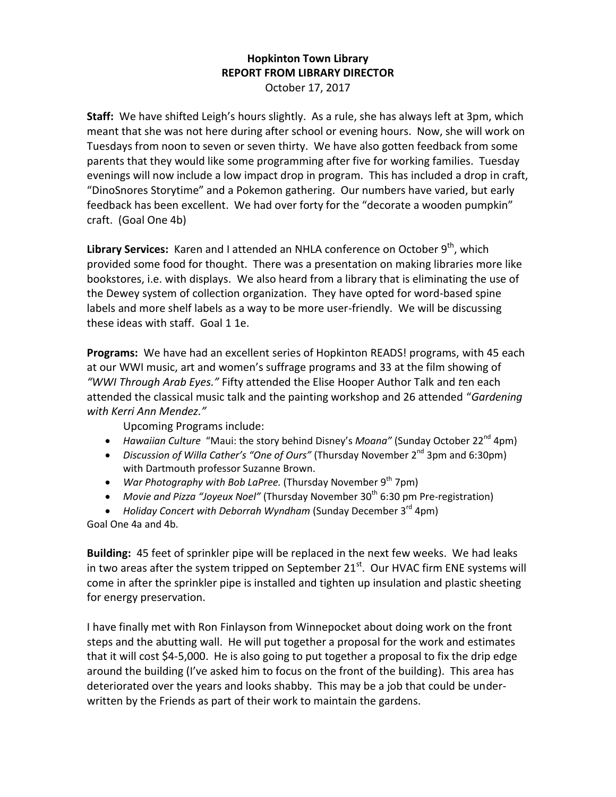## **Hopkinton Town Library REPORT FROM LIBRARY DIRECTOR** October 17, 2017

**Staff:** We have shifted Leigh's hours slightly. As a rule, she has always left at 3pm, which meant that she was not here during after school or evening hours. Now, she will work on Tuesdays from noon to seven or seven thirty. We have also gotten feedback from some parents that they would like some programming after five for working families. Tuesday evenings will now include a low impact drop in program. This has included a drop in craft, "DinoSnores Storytime" and a Pokemon gathering. Our numbers have varied, but early feedback has been excellent. We had over forty for the "decorate a wooden pumpkin" craft. (Goal One 4b)

Library Services: Karen and I attended an NHLA conference on October 9<sup>th</sup>, which provided some food for thought. There was a presentation on making libraries more like bookstores, i.e. with displays. We also heard from a library that is eliminating the use of the Dewey system of collection organization. They have opted for word-based spine labels and more shelf labels as a way to be more user-friendly. We will be discussing these ideas with staff. Goal 1 1e.

**Programs:** We have had an excellent series of Hopkinton READS! programs, with 45 each at our WWI music, art and women's suffrage programs and 33 at the film showing of *"WWI Through Arab Eyes."* Fifty attended the Elise Hooper Author Talk and *t*en each attended the classical music talk and the painting workshop and 26 attended "*Gardening with Kerri Ann Mendez."*

Upcoming Programs include:

- Hawaiian Culture "Maui: the story behind Disney's *Moana"* (Sunday October 22<sup>nd</sup> 4pm)
- Discussion of Willa Cather's "One of Ours" (Thursday November 2<sup>nd</sup> 3pm and 6:30pm) with Dartmouth professor Suzanne Brown.
- *War Photography with Bob LaPree.* (Thursday November 9<sup>th</sup> 7pm)
- Movie and Pizza "Joyeux Noel" (Thursday November 30<sup>th</sup> 6:30 pm Pre-registration)
- Holiday Concert with Deborrah Wyndham (Sunday December 3<sup>rd</sup> 4pm) Goal One 4a and 4b.

**Building:** 45 feet of sprinkler pipe will be replaced in the next few weeks. We had leaks in two areas after the system tripped on September 21<sup>st</sup>. Our HVAC firm ENE systems will come in after the sprinkler pipe is installed and tighten up insulation and plastic sheeting for energy preservation.

I have finally met with Ron Finlayson from Winnepocket about doing work on the front steps and the abutting wall. He will put together a proposal for the work and estimates that it will cost \$4-5,000. He is also going to put together a proposal to fix the drip edge around the building (I've asked him to focus on the front of the building). This area has deteriorated over the years and looks shabby. This may be a job that could be underwritten by the Friends as part of their work to maintain the gardens.